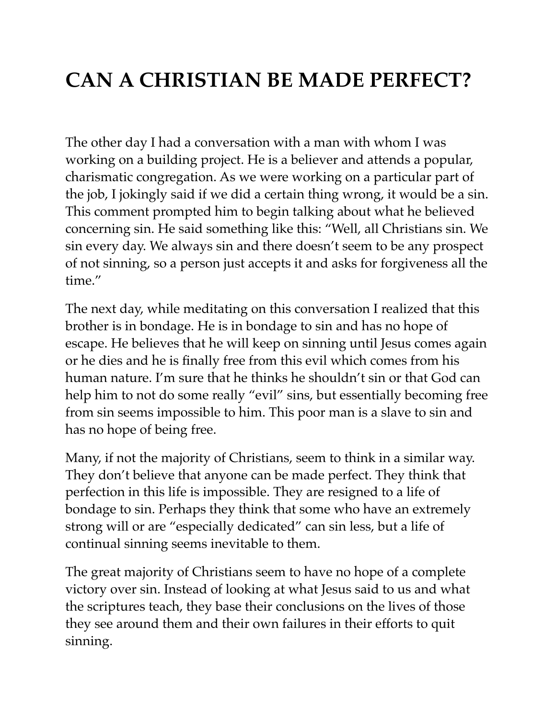# **CAN A CHRISTIAN BE MADE PERFECT?**

The other day I had a conversation with a man with whom I was working on a building project. He is a believer and attends a popular, charismatic congregation. As we were working on a particular part of the job, I jokingly said if we did a certain thing wrong, it would be a sin. This comment prompted him to begin talking about what he believed concerning sin. He said something like this: "Well, all Christians sin. We sin every day. We always sin and there doesn't seem to be any prospect of not sinning, so a person just accepts it and asks for forgiveness all the time."

The next day, while meditating on this conversation I realized that this brother is in bondage. He is in bondage to sin and has no hope of escape. He believes that he will keep on sinning until Jesus comes again or he dies and he is finally free from this evil which comes from his human nature. I'm sure that he thinks he shouldn't sin or that God can help him to not do some really "evil" sins, but essentially becoming free from sin seems impossible to him. This poor man is a slave to sin and has no hope of being free.

Many, if not the majority of Christians, seem to think in a similar way. They don't believe that anyone can be made perfect. They think that perfection in this life is impossible. They are resigned to a life of bondage to sin. Perhaps they think that some who have an extremely strong will or are "especially dedicated" can sin less, but a life of continual sinning seems inevitable to them.

The great majority of Christians seem to have no hope of a complete victory over sin. Instead of looking at what Jesus said to us and what the scriptures teach, they base their conclusions on the lives of those they see around them and their own failures in their efforts to quit sinning.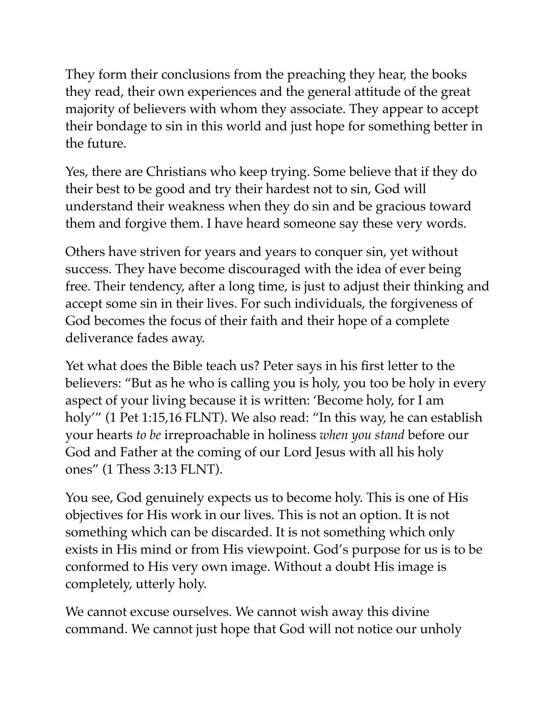They form their conclusions from the preaching they hear, the books they read, their own experiences and the general attitude of the great majority of believers with whom they associate. They appear to accept their bondage to sin in this world and just hope for something better in the future.

Yes, there are Christians who keep trying. Some believe that if they do their best to be good and try their hardest not to sin, God will understand their weakness when they do sin and be gracious toward them and forgive them. I have heard someone say these very words.

Others have striven for years and years to conquer sin, yet without success. They have become discouraged with the idea of ever being free. Their tendency, after a long time, is just to adjust their thinking and accept some sin in their lives. For such individuals, the forgiveness of God becomes the focus of their faith and their hope of a complete deliverance fades away.

Yet what does the Bible teach us? Peter says in his first letter to the believers: "But as he who is calling you is holy, you too be holy in every aspect of your living because it is written: 'Become holy, for I am holy'" (1 Pet 1:15,16 FLNT). We also read: "In this way, he can establish your hearts *to be* irreproachable in holiness *when you stand* before our God and Father at the coming of our Lord Jesus with all his holy ones" (1 Thess 3:13 FLNT).

You see, God genuinely expects us to become holy. This is one of His objectives for His work in our lives. This is not an option. It is not something which can be discarded. It is not something which only exists in His mind or from His viewpoint. God's purpose for us is to be conformed to His very own image. Without a doubt His image is completely, utterly holy.

We cannot excuse ourselves. We cannot wish away this divine command. We cannot just hope that God will not notice our unholy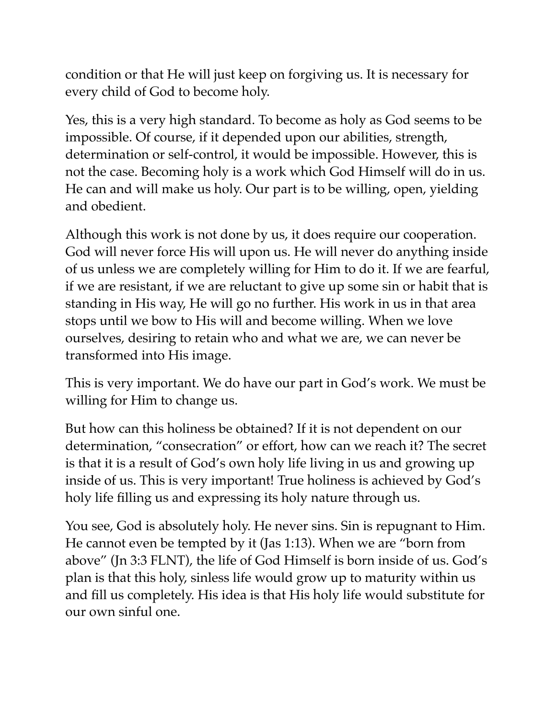condition or that He will just keep on forgiving us. It is necessary for every child of God to become holy.

Yes, this is a very high standard. To become as holy as God seems to be impossible. Of course, if it depended upon our abilities, strength, determination or self-control, it would be impossible. However, this is not the case. Becoming holy is a work which God Himself will do in us. He can and will make us holy. Our part is to be willing, open, yielding and obedient.

Although this work is not done by us, it does require our cooperation. God will never force His will upon us. He will never do anything inside of us unless we are completely willing for Him to do it. If we are fearful, if we are resistant, if we are reluctant to give up some sin or habit that is standing in His way, He will go no further. His work in us in that area stops until we bow to His will and become willing. When we love ourselves, desiring to retain who and what we are, we can never be transformed into His image.

This is very important. We do have our part in God's work. We must be willing for Him to change us.

But how can this holiness be obtained? If it is not dependent on our determination, "consecration" or effort, how can we reach it? The secret is that it is a result of God's own holy life living in us and growing up inside of us. This is very important! True holiness is achieved by God's holy life filling us and expressing its holy nature through us.

You see, God is absolutely holy. He never sins. Sin is repugnant to Him. He cannot even be tempted by it (Jas 1:13). When we are "born from above" (Jn 3:3 FLNT), the life of God Himself is born inside of us. God's plan is that this holy, sinless life would grow up to maturity within us and fill us completely. His idea is that His holy life would substitute for our own sinful one.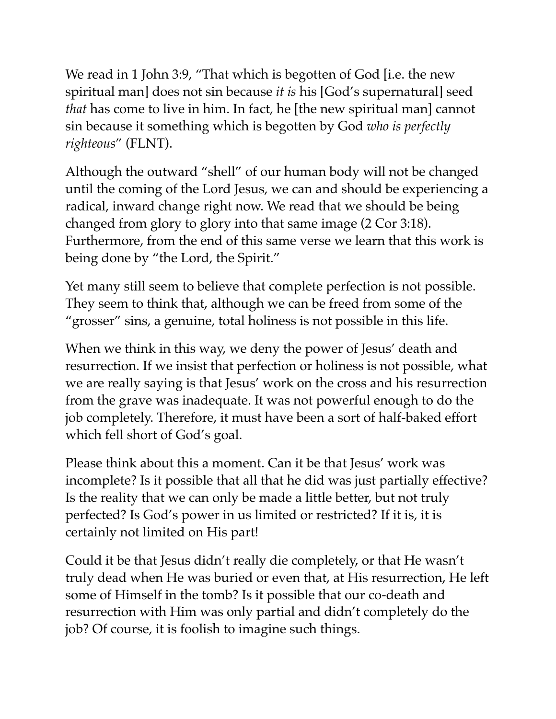We read in 1 John 3:9, "That which is begotten of God [i.e. the new spiritual man] does not sin because *it is* his [God's supernatural] seed *that* has come to live in him. In fact, he [the new spiritual man] cannot sin because it something which is begotten by God *who is perfectly righteous*" (FLNT).

Although the outward "shell" of our human body will not be changed until the coming of the Lord Jesus, we can and should be experiencing a radical, inward change right now. We read that we should be being changed from glory to glory into that same image (2 Cor 3:18). Furthermore, from the end of this same verse we learn that this work is being done by "the Lord, the Spirit."

Yet many still seem to believe that complete perfection is not possible. They seem to think that, although we can be freed from some of the "grosser" sins, a genuine, total holiness is not possible in this life.

When we think in this way, we deny the power of Jesus' death and resurrection. If we insist that perfection or holiness is not possible, what we are really saying is that Jesus' work on the cross and his resurrection from the grave was inadequate. It was not powerful enough to do the job completely. Therefore, it must have been a sort of half-baked effort which fell short of God's goal.

Please think about this a moment. Can it be that Jesus' work was incomplete? Is it possible that all that he did was just partially effective? Is the reality that we can only be made a little better, but not truly perfected? Is God's power in us limited or restricted? If it is, it is certainly not limited on His part!

Could it be that Jesus didn't really die completely, or that He wasn't truly dead when He was buried or even that, at His resurrection, He left some of Himself in the tomb? Is it possible that our co-death and resurrection with Him was only partial and didn't completely do the job? Of course, it is foolish to imagine such things.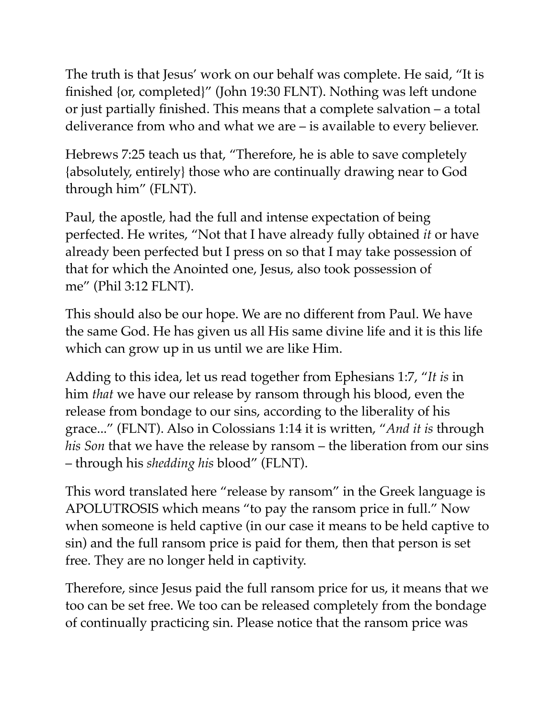The truth is that Jesus' work on our behalf was complete. He said, "It is finished {or, completed}" (John 19:30 FLNT). Nothing was left undone or just partially finished. This means that a complete salvation – a total deliverance from who and what we are – is available to every believer.

Hebrews 7:25 teach us that, "Therefore, he is able to save completely {absolutely, entirely} those who are continually drawing near to God through him" (FLNT).

Paul, the apostle, had the full and intense expectation of being perfected. He writes, "Not that I have already fully obtained *it* or have already been perfected but I press on so that I may take possession of that for which the Anointed one, Jesus, also took possession of me" (Phil 3:12 FLNT).

This should also be our hope. We are no different from Paul. We have the same God. He has given us all His same divine life and it is this life which can grow up in us until we are like Him.

Adding to this idea, let us read together from Ephesians 1:7, "*It is* in him *that* we have our release by ransom through his blood, even the release from bondage to our sins, according to the liberality of his grace..." (FLNT). Also in Colossians 1:14 it is written, "*And it is* through *his Son* that we have the release by ransom – the liberation from our sins – through his *shedding his* blood" (FLNT).

This word translated here "release by ransom" in the Greek language is APOLUTROSIS which means "to pay the ransom price in full." Now when someone is held captive (in our case it means to be held captive to sin) and the full ransom price is paid for them, then that person is set free. They are no longer held in captivity.

Therefore, since Jesus paid the full ransom price for us, it means that we too can be set free. We too can be released completely from the bondage of continually practicing sin. Please notice that the ransom price was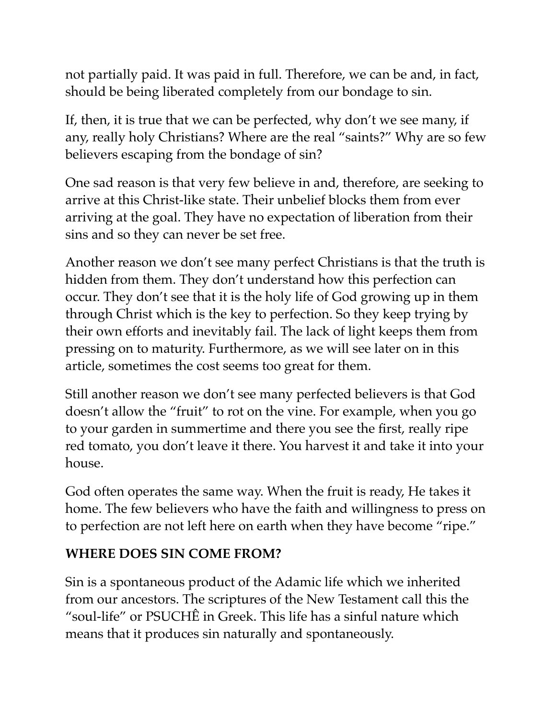not partially paid. It was paid in full. Therefore, we can be and, in fact, should be being liberated completely from our bondage to sin.

If, then, it is true that we can be perfected, why don't we see many, if any, really holy Christians? Where are the real "saints?" Why are so few believers escaping from the bondage of sin?

One sad reason is that very few believe in and, therefore, are seeking to arrive at this Christ-like state. Their unbelief blocks them from ever arriving at the goal. They have no expectation of liberation from their sins and so they can never be set free.

Another reason we don't see many perfect Christians is that the truth is hidden from them. They don't understand how this perfection can occur. They don't see that it is the holy life of God growing up in them through Christ which is the key to perfection. So they keep trying by their own efforts and inevitably fail. The lack of light keeps them from pressing on to maturity. Furthermore, as we will see later on in this article, sometimes the cost seems too great for them.

Still another reason we don't see many perfected believers is that God doesn't allow the "fruit" to rot on the vine. For example, when you go to your garden in summertime and there you see the first, really ripe red tomato, you don't leave it there. You harvest it and take it into your house.

God often operates the same way. When the fruit is ready, He takes it home. The few believers who have the faith and willingness to press on to perfection are not left here on earth when they have become "ripe."

#### **WHERE DOES SIN COME FROM?**

Sin is a spontaneous product of the Adamic life which we inherited from our ancestors. The scriptures of the New Testament call this the "soul-life" or PSUCHÊ in Greek. This life has a sinful nature which means that it produces sin naturally and spontaneously.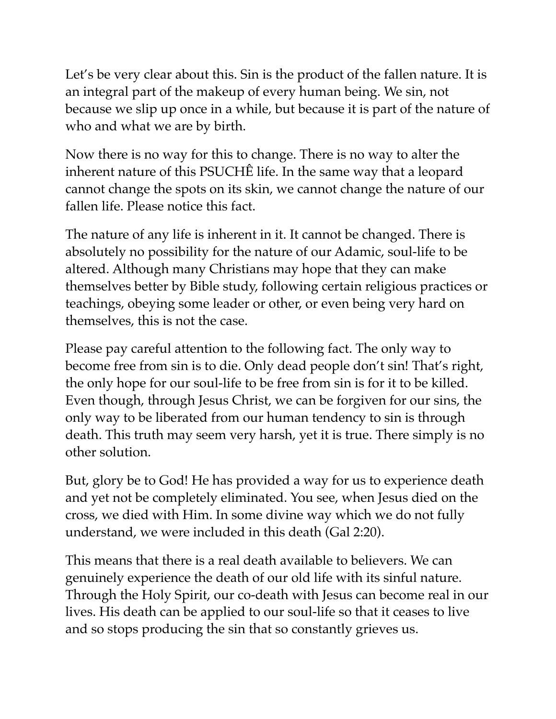Let's be very clear about this. Sin is the product of the fallen nature. It is an integral part of the makeup of every human being. We sin, not because we slip up once in a while, but because it is part of the nature of who and what we are by birth.

Now there is no way for this to change. There is no way to alter the inherent nature of this PSUCHÊ life. In the same way that a leopard cannot change the spots on its skin, we cannot change the nature of our fallen life. Please notice this fact.

The nature of any life is inherent in it. It cannot be changed. There is absolutely no possibility for the nature of our Adamic, soul-life to be altered. Although many Christians may hope that they can make themselves better by Bible study, following certain religious practices or teachings, obeying some leader or other, or even being very hard on themselves, this is not the case.

Please pay careful attention to the following fact. The only way to become free from sin is to die. Only dead people don't sin! That's right, the only hope for our soul-life to be free from sin is for it to be killed. Even though, through Jesus Christ, we can be forgiven for our sins, the only way to be liberated from our human tendency to sin is through death. This truth may seem very harsh, yet it is true. There simply is no other solution.

But, glory be to God! He has provided a way for us to experience death and yet not be completely eliminated. You see, when Jesus died on the cross, we died with Him. In some divine way which we do not fully understand, we were included in this death (Gal 2:20).

This means that there is a real death available to believers. We can genuinely experience the death of our old life with its sinful nature. Through the Holy Spirit, our co-death with Jesus can become real in our lives. His death can be applied to our soul-life so that it ceases to live and so stops producing the sin that so constantly grieves us.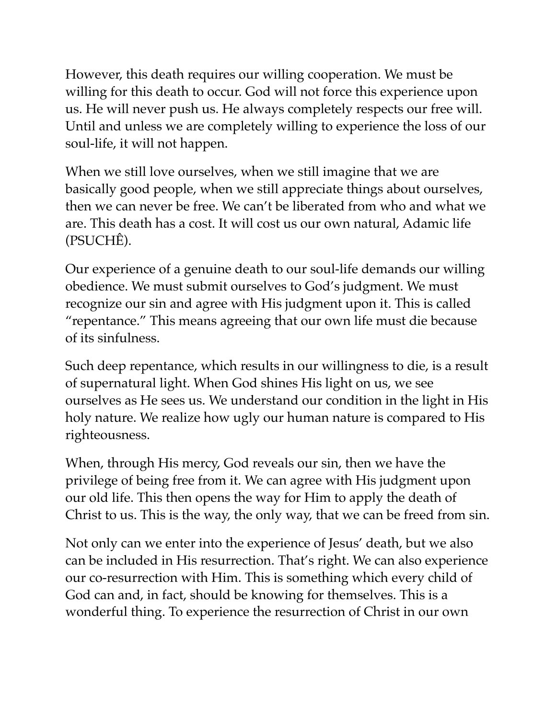However, this death requires our willing cooperation. We must be willing for this death to occur. God will not force this experience upon us. He will never push us. He always completely respects our free will. Until and unless we are completely willing to experience the loss of our soul-life, it will not happen.

When we still love ourselves, when we still imagine that we are basically good people, when we still appreciate things about ourselves, then we can never be free. We can't be liberated from who and what we are. This death has a cost. It will cost us our own natural, Adamic life (PSUCHÊ).

Our experience of a genuine death to our soul-life demands our willing obedience. We must submit ourselves to God's judgment. We must recognize our sin and agree with His judgment upon it. This is called "repentance." This means agreeing that our own life must die because of its sinfulness.

Such deep repentance, which results in our willingness to die, is a result of supernatural light. When God shines His light on us, we see ourselves as He sees us. We understand our condition in the light in His holy nature. We realize how ugly our human nature is compared to His righteousness.

When, through His mercy, God reveals our sin, then we have the privilege of being free from it. We can agree with His judgment upon our old life. This then opens the way for Him to apply the death of Christ to us. This is the way, the only way, that we can be freed from sin.

Not only can we enter into the experience of Jesus' death, but we also can be included in His resurrection. That's right. We can also experience our co-resurrection with Him. This is something which every child of God can and, in fact, should be knowing for themselves. This is a wonderful thing. To experience the resurrection of Christ in our own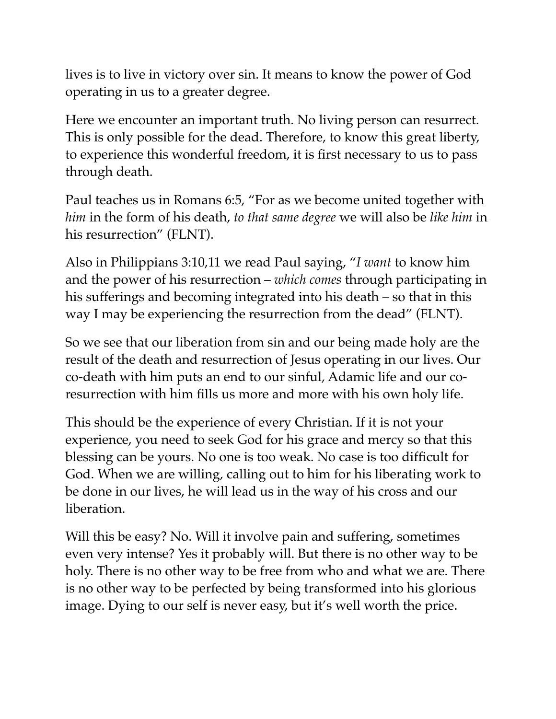lives is to live in victory over sin. It means to know the power of God operating in us to a greater degree.

Here we encounter an important truth. No living person can resurrect. This is only possible for the dead. Therefore, to know this great liberty, to experience this wonderful freedom, it is first necessary to us to pass through death.

Paul teaches us in Romans 6:5, "For as we become united together with *him* in the form of his death, *to that same degree* we will also be *like him* in his resurrection" (FLNT).

Also in Philippians 3:10,11 we read Paul saying, "*I want* to know him and the power of his resurrection – *which comes* through participating in his sufferings and becoming integrated into his death – so that in this way I may be experiencing the resurrection from the dead" (FLNT).

So we see that our liberation from sin and our being made holy are the result of the death and resurrection of Jesus operating in our lives. Our co-death with him puts an end to our sinful, Adamic life and our coresurrection with him fills us more and more with his own holy life.

This should be the experience of every Christian. If it is not your experience, you need to seek God for his grace and mercy so that this blessing can be yours. No one is too weak. No case is too difficult for God. When we are willing, calling out to him for his liberating work to be done in our lives, he will lead us in the way of his cross and our liberation.

Will this be easy? No. Will it involve pain and suffering, sometimes even very intense? Yes it probably will. But there is no other way to be holy. There is no other way to be free from who and what we are. There is no other way to be perfected by being transformed into his glorious image. Dying to our self is never easy, but it's well worth the price.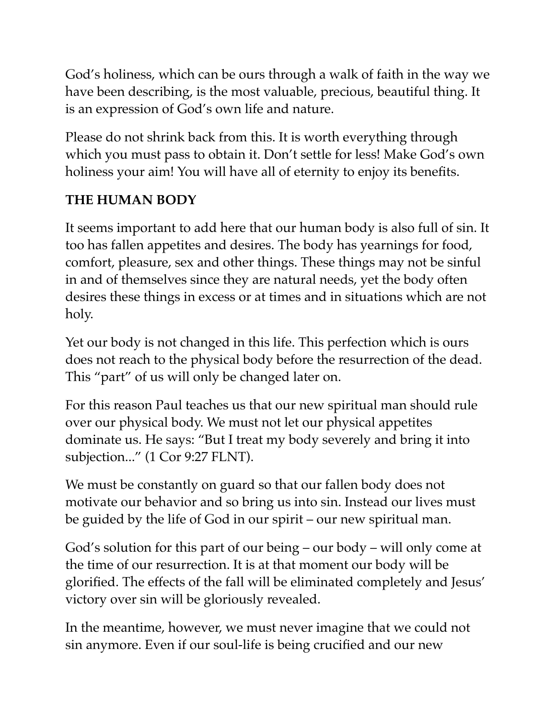God's holiness, which can be ours through a walk of faith in the way we have been describing, is the most valuable, precious, beautiful thing. It is an expression of God's own life and nature.

Please do not shrink back from this. It is worth everything through which you must pass to obtain it. Don't settle for less! Make God's own holiness your aim! You will have all of eternity to enjoy its benefits.

#### **THE HUMAN BODY**

It seems important to add here that our human body is also full of sin. It too has fallen appetites and desires. The body has yearnings for food, comfort, pleasure, sex and other things. These things may not be sinful in and of themselves since they are natural needs, yet the body often desires these things in excess or at times and in situations which are not holy.

Yet our body is not changed in this life. This perfection which is ours does not reach to the physical body before the resurrection of the dead. This "part" of us will only be changed later on.

For this reason Paul teaches us that our new spiritual man should rule over our physical body. We must not let our physical appetites dominate us. He says: "But I treat my body severely and bring it into subjection..." (1 Cor 9:27 FLNT).

We must be constantly on guard so that our fallen body does not motivate our behavior and so bring us into sin. Instead our lives must be guided by the life of God in our spirit – our new spiritual man.

God's solution for this part of our being – our body – will only come at the time of our resurrection. It is at that moment our body will be glorified. The effects of the fall will be eliminated completely and Jesus' victory over sin will be gloriously revealed.

In the meantime, however, we must never imagine that we could not sin anymore. Even if our soul-life is being crucified and our new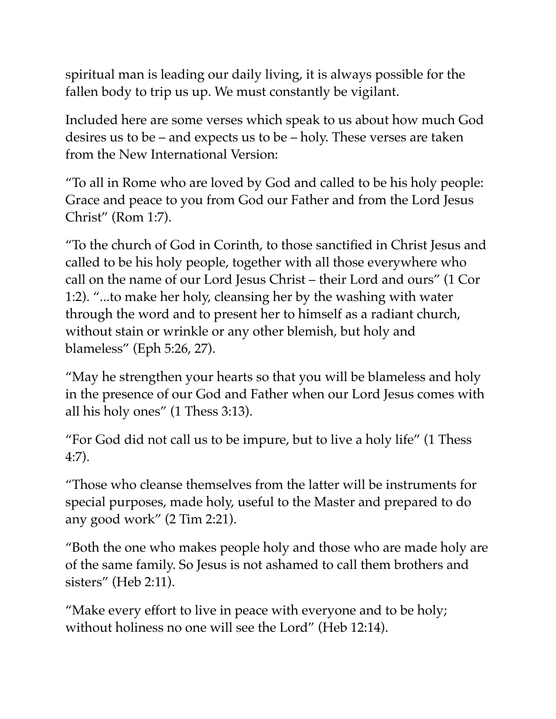spiritual man is leading our daily living, it is always possible for the fallen body to trip us up. We must constantly be vigilant.

Included here are some verses which speak to us about how much God desires us to be – and expects us to be – holy. These verses are taken from the New International Version:

"To all in Rome who are loved by God and called to be his holy people: Grace and peace to you from God our Father and from the Lord Jesus Christ" (Rom 1:7).

"To the church of God in Corinth, to those sanctified in Christ Jesus and called to be his holy people, together with all those everywhere who call on the name of our Lord Jesus Christ – their Lord and ours" (1 Cor 1:2). "...to make her holy, cleansing her by the washing with water through the word and to present her to himself as a radiant church, without stain or wrinkle or any other blemish, but holy and blameless" (Eph 5:26, 27).

"May he strengthen your hearts so that you will be blameless and holy in the presence of our God and Father when our Lord Jesus comes with all his holy ones" (1 Thess 3:13).

"For God did not call us to be impure, but to live a holy life" (1 Thess 4:7).

"Those who cleanse themselves from the latter will be instruments for special purposes, made holy, useful to the Master and prepared to do any good work" (2 Tim 2:21).

"Both the one who makes people holy and those who are made holy are of the same family. So Jesus is not ashamed to call them brothers and sisters" (Heb 2:11).

"Make every effort to live in peace with everyone and to be holy; without holiness no one will see the Lord" (Heb 12:14).